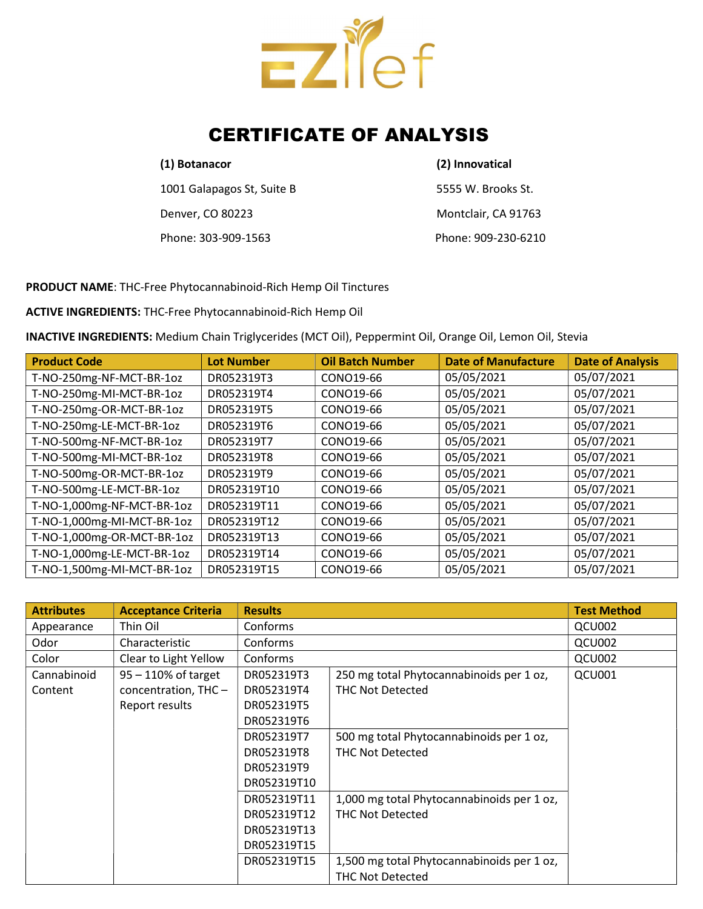

# CERTIFICATE OF ANALYSIS

### (1) Botanacor (2) Innovatical

1001 Galapagos St, Suite B 5555 W. Brooks St. Denver, CO 80223 Montclair, CA 91763 Phone: 303-909-1563 Phone: 909-230-6210

PRODUCT NAME: THC-Free Phytocannabinoid-Rich Hemp Oil Tinctures

ACTIVE INGREDIENTS: THC-Free Phytocannabinoid-Rich Hemp Oil

INACTIVE INGREDIENTS: Medium Chain Triglycerides (MCT Oil), Peppermint Oil, Orange Oil, Lemon Oil, Stevia

| <b>Product Code</b>        | <b>Lot Number</b> | <b>Oil Batch Number</b> | <b>Date of Manufacture</b> | <b>Date of Analysis</b> |
|----------------------------|-------------------|-------------------------|----------------------------|-------------------------|
| T-NO-250mg-NF-MCT-BR-1oz   | DR052319T3        | CONO19-66               | 05/05/2021                 | 05/07/2021              |
| T-NO-250mg-MI-MCT-BR-1oz   | DR052319T4        | CONO19-66               | 05/05/2021                 | 05/07/2021              |
| T-NO-250mg-OR-MCT-BR-1oz   | DR052319T5        | CONO19-66               | 05/05/2021                 | 05/07/2021              |
| T-NO-250mg-LE-MCT-BR-1oz   | DR052319T6        | CONO19-66               | 05/05/2021                 | 05/07/2021              |
| T-NO-500mg-NF-MCT-BR-1oz   | DR052319T7        | CONO19-66               | 05/05/2021                 | 05/07/2021              |
| T-NO-500mg-MI-MCT-BR-1oz   | DR052319T8        | CONO19-66               | 05/05/2021                 | 05/07/2021              |
| T-NO-500mg-OR-MCT-BR-1oz   | DR052319T9        | CONO19-66               | 05/05/2021                 | 05/07/2021              |
| T-NO-500mg-LE-MCT-BR-1oz   | DR052319T10       | CONO19-66               | 05/05/2021                 | 05/07/2021              |
| T-NO-1,000mg-NF-MCT-BR-1oz | DR052319T11       | CONO19-66               | 05/05/2021                 | 05/07/2021              |
| T-NO-1,000mg-MI-MCT-BR-1oz | DR052319T12       | CONO19-66               | 05/05/2021                 | 05/07/2021              |
| T-NO-1,000mg-OR-MCT-BR-1oz | DR052319T13       | CONO19-66               | 05/05/2021                 | 05/07/2021              |
| T-NO-1,000mg-LE-MCT-BR-1oz | DR052319T14       | CONO19-66               | 05/05/2021                 | 05/07/2021              |
| T-NO-1,500mg-MI-MCT-BR-1oz | DR052319T15       | CONO19-66               | 05/05/2021                 | 05/07/2021              |

| <b>Attributes</b> | <b>Acceptance Criteria</b> | <b>Results</b> |                                            | <b>Test Method</b> |
|-------------------|----------------------------|----------------|--------------------------------------------|--------------------|
| Appearance        | Thin Oil                   | Conforms       |                                            | QCU002             |
| Odor              | Characteristic             | Conforms       |                                            | QCU002             |
| Color             | Clear to Light Yellow      | Conforms       |                                            | QCU002             |
| Cannabinoid       | $95 - 110\%$ of target     | DR052319T3     | 250 mg total Phytocannabinoids per 1 oz,   | QCU001             |
| Content           | concentration, THC-        | DR052319T4     | <b>THC Not Detected</b>                    |                    |
|                   | Report results             | DR052319T5     |                                            |                    |
|                   |                            | DR052319T6     |                                            |                    |
|                   |                            | DR052319T7     | 500 mg total Phytocannabinoids per 1 oz,   |                    |
|                   |                            | DR052319T8     | <b>THC Not Detected</b>                    |                    |
|                   |                            | DR052319T9     |                                            |                    |
|                   |                            | DR052319T10    |                                            |                    |
|                   |                            | DR052319T11    | 1,000 mg total Phytocannabinoids per 1 oz, |                    |
|                   |                            | DR052319T12    | THC Not Detected                           |                    |
|                   |                            | DR052319T13    |                                            |                    |
|                   |                            | DR052319T15    |                                            |                    |
|                   |                            | DR052319T15    | 1,500 mg total Phytocannabinoids per 1 oz, |                    |
|                   |                            |                | <b>THC Not Detected</b>                    |                    |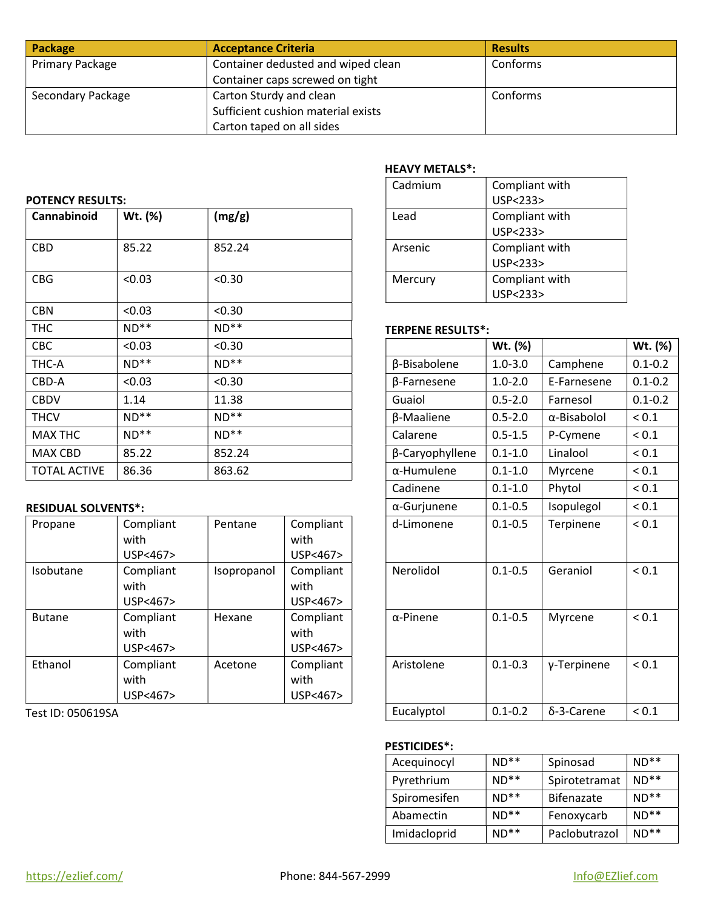| Package           | <b>Acceptance Criteria</b>         | <b>Results</b> |
|-------------------|------------------------------------|----------------|
| Primary Package   | Container dedusted and wiped clean | Conforms       |
|                   | Container caps screwed on tight    |                |
| Secondary Package | Carton Sturdy and clean            | Conforms       |
|                   | Sufficient cushion material exists |                |
|                   | Carton taped on all sides          |                |

### POTENCY RESULTS:

| Cannabinoid         | Wt. (%) | (mg/g) | Lead                     | Compliant with<br>USP<233>  |             |             |
|---------------------|---------|--------|--------------------------|-----------------------------|-------------|-------------|
| <b>CBD</b>          | 85.22   | 852.24 | Arsenic                  | Compliant with<br>USP < 233 |             |             |
| <b>CBG</b>          | < 0.03  | < 0.30 | Mercury                  | Compliant with<br>USP<233>  |             |             |
| <b>CBN</b>          | < 0.03  | < 0.30 |                          |                             |             |             |
| <b>THC</b>          | $ND**$  | $ND**$ | <b>TERPENE RESULTS*:</b> |                             |             |             |
| CBC                 | < 0.03  | < 0.30 |                          | Wt. (%)                     |             | Wt. (%)     |
| THC-A               | $ND**$  | $ND**$ | β-Bisabolene             | $1.0 - 3.0$                 | Camphene    | $0.1 - 0.2$ |
| CBD-A               | < 0.03  | < 0.30 | β-Farnesene              | $1.0 - 2.0$                 | E-Farnesene | $0.1 - 0.2$ |
| <b>CBDV</b>         | 1.14    | 11.38  | Guaiol                   | $0.5 - 2.0$                 | Farnesol    | $0.1 - 0.2$ |
| <b>THCV</b>         | $ND**$  | $ND**$ | β-Maaliene               | $0.5 - 2.0$                 | α-Bisabolol | ${}_{0.1}$  |
| <b>MAX THC</b>      | $ND**$  | $ND**$ | Calarene                 | $0.5 - 1.5$                 | P-Cymene    | ${}_{0.1}$  |
| MAX CBD             | 85.22   | 852.24 | β-Caryophyllene          | $0.1 - 1.0$                 | Linalool    | ${}_{0.1}$  |
| <b>TOTAL ACTIVE</b> | 86.36   | 863.62 | $\alpha$ -Humulene       | $0.1 - 1.0$                 | Myrcene     | ${}_{0.1}$  |

# **RESIDUAL SOLVENTS\*:**

| Propane       | Compliant | Pentane     | Compliant |
|---------------|-----------|-------------|-----------|
|               | with      |             | with      |
|               | USP<467>  |             | USP<467>  |
| Isobutane     | Compliant | Isopropanol | Compliant |
|               | with      |             | with      |
|               | USP<467>  |             | USP<467>  |
| <b>Butane</b> | Compliant | Hexane      | Compliant |
|               | with      |             | with      |
|               | USP<467>  |             | USP<467>  |
| Ethanol       | Compliant | Acetone     | Compliant |
|               | with      |             | with      |
|               | USP<467>  |             | USP<467>  |

Test ID: 050619SA

## HEAVY METALS\*:

| Cadmium | Compliant with |
|---------|----------------|
|         | USP<233>       |
| Lead    | Compliant with |
|         | USP<233>       |
| Arsenic | Compliant with |
|         | USP<233>       |
| Mercury | Compliant with |
|         | USP<233        |

## TERPENE RESULTS\*:

| < 0.03                        | < 0.30      |                               |                     | Wt. (%)     |             | Wt. (%)     |
|-------------------------------|-------------|-------------------------------|---------------------|-------------|-------------|-------------|
| $ND**$                        | $ND**$      |                               | β-Bisabolene        | $1.0 - 3.0$ | Camphene    | $0.1 - 0.2$ |
| <0.03                         | < 0.30      |                               | β-Farnesene         | $1.0 - 2.0$ | E-Farnesene | $0.1 - 0.2$ |
| 1.14                          | 11.38       |                               | Guaiol              | $0.5 - 2.0$ | Farnesol    | $0.1 - 0.2$ |
| $ND**$                        | $ND**$      |                               | β-Maaliene          | $0.5 - 2.0$ | α-Bisabolol | ${}_{0.1}$  |
| $ND**$                        | $ND**$      |                               | Calarene            | $0.5 - 1.5$ | P-Cymene    | ${}_{0.1}$  |
| 85.22                         | 852.24      |                               | β-Caryophyllene     | $0.1 - 1.0$ | Linalool    | ${}_{0.1}$  |
| 86.36                         | 863.62      |                               | $\alpha$ -Humulene  | $0.1 - 1.0$ | Myrcene     | ${}_{0.1}$  |
|                               |             |                               | Cadinene            | $0.1 - 1.0$ | Phytol      | ${}_{0.1}$  |
| $TS^*$ :                      |             |                               | $\alpha$ -Gurjunene | $0.1 - 0.5$ | Isopulegol  | ${}_{0.1}$  |
| Compliant<br>with<br>USP<467> | Pentane     | Compliant<br>with<br>USP<467> | d-Limonene          | $0.1 - 0.5$ | Terpinene   | ${}_{0.1}$  |
| Compliant<br>with<br>USP<467> | Isopropanol | Compliant<br>with<br>USP<467> | Nerolidol           | $0.1 - 0.5$ | Geraniol    | ${}_{0.1}$  |
| Compliant<br>with<br>USP<467> | Hexane      | Compliant<br>with<br>USP<467> | $\alpha$ -Pinene    | $0.1 - 0.5$ | Myrcene     | ${}_{0.1}$  |
| Compliant<br>with<br>USP<467> | Acetone     | Compliant<br>with<br>USP<467> | Aristolene          | $0.1 - 0.3$ | γ-Terpinene | ${}_{0.1}$  |
|                               |             |                               | Eucalyptol          | $0.1 - 0.2$ | δ-3-Carene  | ${}_{0.1}$  |

#### PESTICIDES\*:

| $ND**$ | Spinosad      | $ND**$ | Aceguinocyl  |
|--------|---------------|--------|--------------|
| $ND**$ | Spirotetramat | $ND**$ | Pyrethrium   |
| $ND**$ | Bifenazate    | $ND**$ | Spiromesifen |
| $ND**$ | Fenoxycarb    | $ND**$ | Abamectin    |
| $ND**$ | Paclobutrazol | $ND**$ | Imidacloprid |